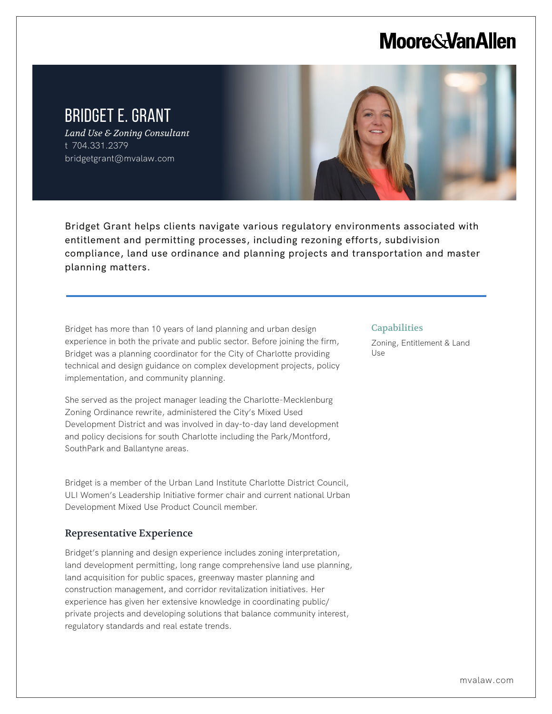# **Moore & Van Allen**

## BRIDGET E. GRANT

L

*Land Use & Zoning Consultant* t 704.331.2379 bridgetgrant@mvalaw.com



Bridget Grant helps clients navigate various regulatory environments associated with entitlement and permitting processes, including rezoning efforts, subdivision compliance, land use ordinance and planning projects and transportation and master planning matters.

Bridget has more than 10 years of land planning and urban design experience in both the private and public sector. Before joining the firm, Bridget was a planning coordinator for the City of Charlotte providing technical and design guidance on complex development projects, policy implementation, and community planning.

She served as the project manager leading the Charlotte-Mecklenburg Zoning Ordinance rewrite, administered the City's Mixed Used Development District and was involved in day-to-day land development and policy decisions for south Charlotte including the Park/Montford, SouthPark and Ballantyne areas.

Bridget is a member of the Urban Land Institute Charlotte District Council, ULI Women's Leadership Initiative former chair and current national Urban Development Mixed Use Product Council member.

### Representative Experience

Bridget's planning and design experience includes zoning interpretation, land development permitting, long range comprehensive land use planning, land acquisition for public spaces, greenway master planning and construction management, and corridor revitalization initiatives. Her experience has given her extensive knowledge in coordinating public/ private projects and developing solutions that balance community interest, regulatory standards and real estate trends.

#### **Capabilities**

Zoning, Entitlement & Land Use